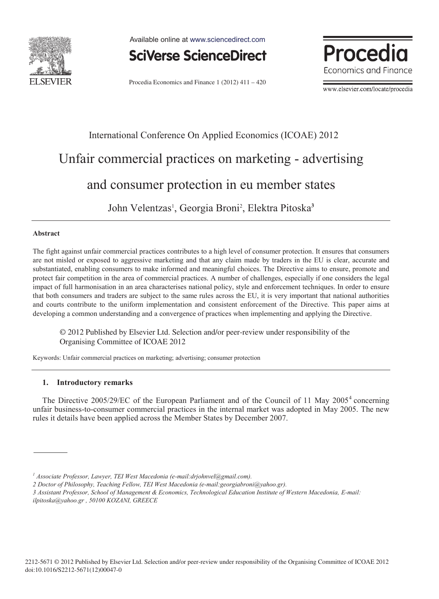

Available online at www.sciencedirect.com



Procedia Economics and Finance 1 (2012)  $411 - 420$ 



www.elsevier.com/locate/procedia

## International Conference On Applied Economics (ICOAE) 2012 Unfair commercial practices on marketing - advertising and consumer protection in eu member states

John Velentzas<sup>1</sup>, Georgia Broni<sup>2</sup>, Elektra Pitoska<sup>3</sup>

## **Abstract**

The fight against unfair commercial practices contributes to a high level of consumer protection. It ensures that consumers are not misled or exposed to aggressive marketing and that any claim made by traders in the EU is clear, accurate and substantiated, enabling consumers to make informed and meaningful choices. The Directive aims to ensure, promote and protect fair competition in the area of commercial practices. A number of challenges, especially if one considers the legal impact of full harmonisation in an area characterises national policy, style and enforcement techniques. In order to ensure that both consumers and traders are subject to the same rules across the EU, it is very important that national authorities and courts contribute to the uniform implementation and consistent enforcement of the Directive. This paper aims at developing a common understanding and a convergence of practices when implementing and applying the Directive.

© 2012 Published by Elsevier Ltd. Selection and/or peer-review under responsibility of the © 2012 Published by Elsevier Ltd. Selection and/or peer-review under responsibility of the Organising Committee of ICOAE 2012 Organising Committee of ICOAE 2012

Keywords: Unfair commercial practices on marketing; advertising; consumer protection

## **1. Introductory remarks**

The Directive 2005/29/EC of the European Parliament and of the Council of 11 May 2005<sup>4</sup> concerning unfair business-to-consumer commercial practices in the internal market was adopted in May 2005. The new rules it details have been applied across the Member States by December 2007.

<sup>&</sup>lt;sup>1</sup> Associate Professor, Lawyer, TEI West Macedonia (e-mail:drjohnvel@gmail.com).

*<sup>2</sup> Doctor of Philosophy, Teaching Fellow, TEI West Macedonia (e-mail:georgiabroni@yahoo.gr).* 

*<sup>3</sup> Assistant Professor, School of Management & Economics, Technological Education Institute of Western Macedonia, E-mail: ilpitoska@yahoo.gr , 50100 KOZANI, GREECE*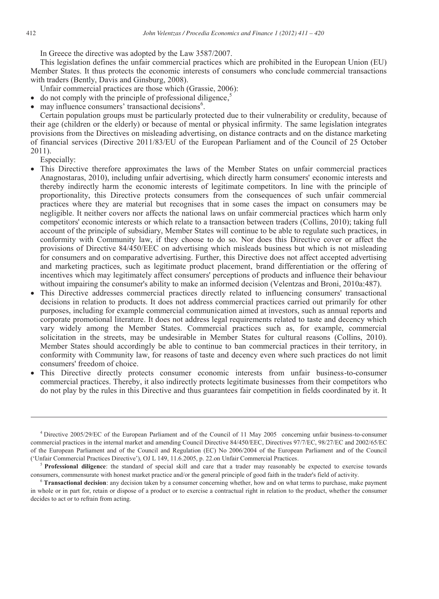In Greece the directive was adopted by the Law 3587/2007.

This legislation defines the unfair commercial practices which are prohibited in the European Union (EU) Member States. It thus protects the economic interests of consumers who conclude commercial transactions with traders (Bently, Davis and Ginsburg, 2008).

Unfair commercial practices are those which (Grassie, 2006):

- $\mu$  do not comply with the principle of professional diligence,<sup>5</sup>
- $\bullet$  may influence consumers' transactional decisions<sup>6</sup>.

Certain population groups must be particularly protected due to their vulnerability or credulity, because of their age (children or the elderly) or because of mental or physical infirmity. The same legislation integrates provisions from the Directives on misleading advertising, on distance contracts and on the distance marketing of financial services (Directive 2011/83/EU of the European Parliament and of the Council of 25 October 2011).

Especially:

-

- x This Directive therefore approximates the laws of the Member States on unfair commercial practices Anagnostaras, 2010), including unfair advertising, which directly harm consumers' economic interests and thereby indirectly harm the economic interests of legitimate competitors. In line with the principle of proportionality, this Directive protects consumers from the consequences of such unfair commercial practices where they are material but recognises that in some cases the impact on consumers may be negligible. It neither covers nor affects the national laws on unfair commercial practices which harm only competitors' economic interests or which relate to a transaction between traders (Collins, 2010); taking full account of the principle of subsidiary, Member States will continue to be able to regulate such practices, in conformity with Community law, if they choose to do so. Nor does this Directive cover or affect the provisions of Directive 84/450/EEC on advertising which misleads business but which is not misleading for consumers and on comparative advertising. Further, this Directive does not affect accepted advertising and marketing practices, such as legitimate product placement, brand differentiation or the offering of incentives which may legitimately affect consumers' perceptions of products and influence their behaviour without impairing the consumer's ability to make an informed decision (Velentzas and Broni, 2010a:487).
- x This Directive addresses commercial practices directly related to influencing consumers' transactional decisions in relation to products. It does not address commercial practices carried out primarily for other purposes, including for example commercial communication aimed at investors, such as annual reports and corporate promotional literature. It does not address legal requirements related to taste and decency which vary widely among the Member States. Commercial practices such as, for example, commercial solicitation in the streets, may be undesirable in Member States for cultural reasons (Collins, 2010). Member States should accordingly be able to continue to ban commercial practices in their territory, in conformity with Community law, for reasons of taste and decency even where such practices do not limit consumers' freedom of choice.
- x This Directive directly protects consumer economic interests from unfair business-to-consumer commercial practices. Thereby, it also indirectly protects legitimate businesses from their competitors who do not play by the rules in this Directive and thus guarantees fair competition in fields coordinated by it. It

<sup>4</sup> Directive 2005/29/EC of the European Parliament and of the Council of 11 May 2005 concerning unfair business-to-consumer commercial practices in the internal market and amending Council Directive 84/450/EEC, Directives 97/7/EC, 98/27/EC and 2002/65/EC of the European Parliament and of the Council and Regulation (EC) No 2006/2004 of the European Parliament and of the Council ('Unfair Commercial Practices Directive'), OJ L 149, 11.6.2005, p. 22.on Unfair Commercial Practices.<br><sup>5</sup> **Professional diligence**: the standard of special skill and care that a trader may reasonably be expected to exercis

consumers, commensurate with honest market practice and/or the general principle of good faith in the trader's field of activity.<br><sup>6</sup> Transactional decision: any decision taken by a consumer concerning whether, how and on

in whole or in part for, retain or dispose of a product or to exercise a contractual right in relation to the product, whether the consumer decides to act or to refrain from acting.